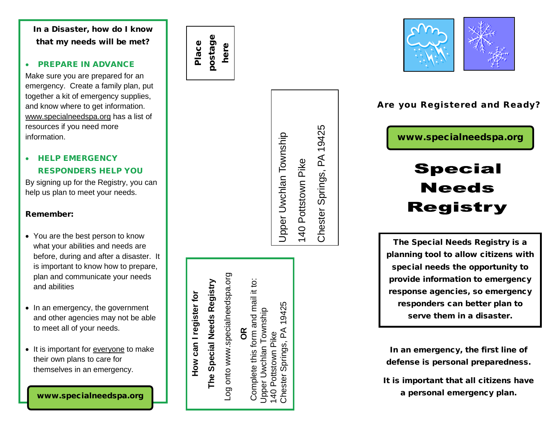In a Disaster, how do I know that my needs will be met?

## • PREPARE IN ADVANCE

Make sure you are prepared for an emergency. Create a family plan, put together a kit of emergency supplies, and know where to get information. [www.specialneedspa.org](http://www.specialneedspa.org/) has a list of resources if you need more information.

# • HELP EMERGENCY RESPONDERS HELP YOU

By signing up for the Registry, you can help us plan to meet your needs.

## Remember:

- You are the best person to know what your abilities and needs are before, during and after a disaster. It is important to know how to prepare, plan and communicate your needs and abilities
- In an emergency, the government and other agencies may not be able to meet all of your needs.
- It is important for everyone to make their own plans to care for themselves in an emergency.

postage postage Place here

> Chester Springs, PA 19425 Chester Springs, PA 19425 Upper Uwchlan Township Upper Uwchlan Township 140 Pottstown Pike 140 Pottstown Pike

Log onto www.specialneedspa.org Log onto www.specialneedspa.org Complete this form and mail it to: Complete this form and mail it to: 19425 Chester Springs, PA 19425 Upper Uwchlan Township Jpper Uwchlan Township Chester Springs, PA **OR** Pottstown Pike 140 Pottstown Pike  $|40|$ 

**How can I register for** 

How can I register for

**The Special Needs Registry**

The Special Needs Registry



# Are you Registered and Ready?

www.specialneedspa.org

# **Special Needs Registry**

The Special Needs Registry is a planning tool to allow citizens with special needs the opportunity to provide information to emergency response agencies, so emergency responders can better plan to serve them in a disaster.

In an emergency, the first line of defense is personal preparedness.

It is important that all citizens have a personal emergency plan.

www.specialneedspa.org